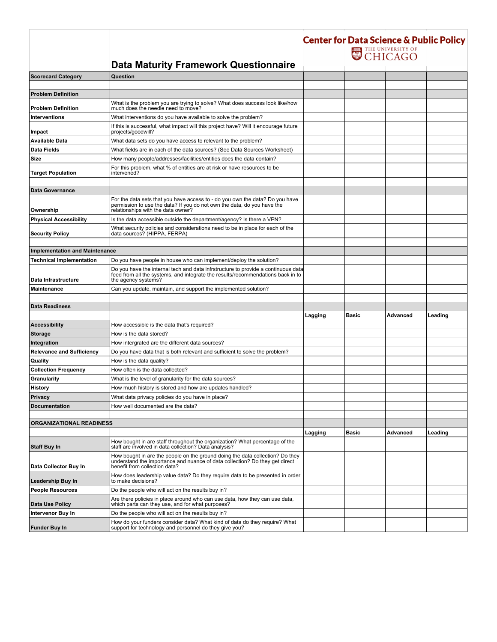|                                       |                                                                                                                                                                                               | <b>Center for Data Science &amp; Public Policy</b><br>THE UNIVERSITY OF |              |          |         |
|---------------------------------------|-----------------------------------------------------------------------------------------------------------------------------------------------------------------------------------------------|-------------------------------------------------------------------------|--------------|----------|---------|
|                                       | <b>Data Maturity Framework Questionnaire</b>                                                                                                                                                  |                                                                         |              |          |         |
| <b>Scorecard Category</b>             | Question                                                                                                                                                                                      |                                                                         |              |          |         |
|                                       |                                                                                                                                                                                               |                                                                         |              |          |         |
| <b>Problem Definition</b>             |                                                                                                                                                                                               |                                                                         |              |          |         |
| <b>Problem Definition</b>             | What is the problem you are trying to solve? What does success look like/how<br>much does the needle need to move?                                                                            |                                                                         |              |          |         |
| <b>Interventions</b>                  | What interventions do you have available to solve the problem?                                                                                                                                |                                                                         |              |          |         |
| Impact                                | If this is successful, what impact will this project have? Will it encourage future<br>projects/goodwill?                                                                                     |                                                                         |              |          |         |
| <b>Available Data</b>                 | What data sets do you have access to relevant to the problem?                                                                                                                                 |                                                                         |              |          |         |
| <b>Data Fields</b>                    | What fields are in each of the data sources? (See Data Sources Worksheet)                                                                                                                     |                                                                         |              |          |         |
| Size                                  | How many people/addresses/facilities/entities does the data contain?                                                                                                                          |                                                                         |              |          |         |
| <b>Target Population</b>              | For this problem, what % of entities are at risk or have resources to be<br>intervened?                                                                                                       |                                                                         |              |          |         |
|                                       |                                                                                                                                                                                               |                                                                         |              |          |         |
| <b>Data Governance</b>                |                                                                                                                                                                                               |                                                                         |              |          |         |
| Ownership                             | For the data sets that you have access to - do you own the data? Do you have<br>permission to use the data? If you do not own the data, do you have the<br>relationships with the data owner? |                                                                         |              |          |         |
| <b>Physical Accessibility</b>         | Is the data accessible outside the department/agency? Is there a VPN?                                                                                                                         |                                                                         |              |          |         |
| <b>Security Policy</b>                | What security policies and considerations need to be in place for each of the<br>data sources? (HIPPA, FERPA)                                                                                 |                                                                         |              |          |         |
|                                       |                                                                                                                                                                                               |                                                                         |              |          |         |
| <b>Implementation and Maintenance</b> |                                                                                                                                                                                               |                                                                         |              |          |         |
| <b>Technical Implementation</b>       | Do you have people in house who can implement/deploy the solution?                                                                                                                            |                                                                         |              |          |         |
| Data Infrastructure                   | Do you have the internal tech and data infrstructure to provide a continuous data<br>feed from all the systems, and integrate the results/recommendations back in to<br>the agency systems?   |                                                                         |              |          |         |
| <b>Maintenance</b>                    | Can you update, maintain, and support the implemented solution?                                                                                                                               |                                                                         |              |          |         |
|                                       |                                                                                                                                                                                               |                                                                         |              |          |         |
| <b>Data Readiness</b>                 |                                                                                                                                                                                               |                                                                         |              |          |         |
|                                       |                                                                                                                                                                                               | Lagging                                                                 | <b>Basic</b> | Advanced | Leading |
| <b>Accessibility</b>                  | How accessible is the data that's required?                                                                                                                                                   |                                                                         |              |          |         |
| <b>Storage</b>                        | How is the data stored?                                                                                                                                                                       |                                                                         |              |          |         |
| Integration                           | How intergrated are the different data sources?                                                                                                                                               |                                                                         |              |          |         |
| <b>Relevance and Sufficiency</b>      | Do you have data that is both relevant and sufficient to solve the problem?                                                                                                                   |                                                                         |              |          |         |
| Quality                               | How is the data quality?                                                                                                                                                                      |                                                                         |              |          |         |
| <b>Collection Frequency</b>           | How often is the data collected?                                                                                                                                                              |                                                                         |              |          |         |
| Granularity                           | What is the level of granularity for the data sources?                                                                                                                                        |                                                                         |              |          |         |
| History                               | How much history is stored and how are updates handled?                                                                                                                                       |                                                                         |              |          |         |
| Privacy                               | What data privacy policies do you have in place?                                                                                                                                              |                                                                         |              |          |         |
| <b>Documentation</b>                  | How well documented are the data?                                                                                                                                                             |                                                                         |              |          |         |
|                                       |                                                                                                                                                                                               |                                                                         |              |          |         |
| <b>ORGANIZATIONAL READINESS</b>       |                                                                                                                                                                                               |                                                                         |              |          |         |
|                                       |                                                                                                                                                                                               | Lagging                                                                 | <b>Basic</b> | Advanced | Leading |
| <b>Staff Buy In</b>                   | How bought in are staff throughout the organization? What percentage of the<br>staff are involved in data collection? Data analysis?                                                          |                                                                         |              |          |         |
| Data Collector Buy In                 | How bought in are the people on the ground doing the data collection? Do they<br>understand the importance and nuance of data collection? Do they get direct<br>benefit from collection data? |                                                                         |              |          |         |
| <b>Leadership Buy In</b>              | How does leadership value data? Do they require data to be presented in order<br>to make decisions?                                                                                           |                                                                         |              |          |         |
| <b>People Resources</b>               | Do the people who will act on the results buy in?                                                                                                                                             |                                                                         |              |          |         |
| Data Use Policy                       | Are there policies in place around who can use data, how they can use data,<br>which parts can they use, and for what purposes?                                                               |                                                                         |              |          |         |
| Intervenor Buy In                     | Do the people who will act on the results buy in?                                                                                                                                             |                                                                         |              |          |         |
| <b>Funder Buy In</b>                  | How do your funders consider data? What kind of data do they require? What<br>support for technology and personnel do they give you?                                                          |                                                                         |              |          |         |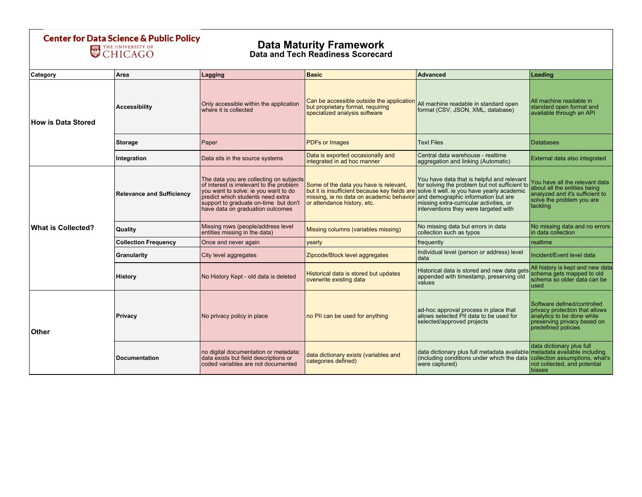## **Center for Data Science & Public Policy<br>CHICAGO**

## Data Maturity Framework Data and Tech Readiness Scorecard

| Category                  | Area                             | Lagging                                                                                                                                                                                                                                       | <b>Basic</b>                                                                                                                                                       | <b>Advanced</b>                                                                                                                                                                                                                                                      | Leading                                                                                                                                           |  |  |  |
|---------------------------|----------------------------------|-----------------------------------------------------------------------------------------------------------------------------------------------------------------------------------------------------------------------------------------------|--------------------------------------------------------------------------------------------------------------------------------------------------------------------|----------------------------------------------------------------------------------------------------------------------------------------------------------------------------------------------------------------------------------------------------------------------|---------------------------------------------------------------------------------------------------------------------------------------------------|--|--|--|
| <b>How is Data Stored</b> | <b>Accessibility</b>             | Only accessible within the application<br>where it is collected                                                                                                                                                                               | Can be accessible outside the application<br>but proprietary format, requiring<br>specialized analysis software                                                    | All machine readable in standard open<br>format (CSV, JSON, XML, database)                                                                                                                                                                                           | All machine readable in<br>standard open format and<br>available through an API                                                                   |  |  |  |
|                           | <b>Storage</b>                   | Paper                                                                                                                                                                                                                                         | <b>PDFs or Images</b>                                                                                                                                              | <b>Text Files</b>                                                                                                                                                                                                                                                    | Databases                                                                                                                                         |  |  |  |
|                           | Integration                      | Data sits in the source systems                                                                                                                                                                                                               | Data is exported occasionally and<br>integrated in ad hoc manner                                                                                                   | Central data warehouse - realtime<br>aggregation and linking (Automatic)                                                                                                                                                                                             | External data also integrated                                                                                                                     |  |  |  |
| <b>What is Collected?</b> | <b>Relevance and Sufficiency</b> | The data you are collecting on subjects<br>of interest is irrelevant to the problem<br>you want to solve: ie you want to do<br>predict which students need extra<br>support to graduate on-time but don't<br>have data on graduation outcomes | Some of the data you have is relevant,<br>but it is insufficient because key fields are<br>missing, ie no data on academic behavior<br>or attendance history, etc. | You have data that is helpful and relevant<br>for solving the problem but not sufficient to<br>solve it well. ie you have yearly academic<br>and demographic information but are<br>missing extra-curricular activities, or<br>interventions they were targeted with | You have all the relevant data<br>about all the entities being<br>analyzed and it's sufficient to<br>solve the problem you are<br>tackling        |  |  |  |
|                           | Quality                          | Missing rows (people/address level<br>entities missing in the data)                                                                                                                                                                           | Missing columns (variables missing)                                                                                                                                | No missing data but errors in data<br>collection such as typos                                                                                                                                                                                                       | No missing data and no errors<br>in data collection                                                                                               |  |  |  |
|                           | <b>Collection Frequency</b>      | Once and never again                                                                                                                                                                                                                          | yearly                                                                                                                                                             | frequently                                                                                                                                                                                                                                                           | realtime                                                                                                                                          |  |  |  |
|                           | Granularity                      | City level aggregates                                                                                                                                                                                                                         | Zipcode/Block level aggregates                                                                                                                                     | Individual level (person or address) level<br>data                                                                                                                                                                                                                   | Incident/Event level data                                                                                                                         |  |  |  |
|                           | History                          | No History Kept - old data is deleted                                                                                                                                                                                                         | Historical data is stored but updates<br>overwrite existing data                                                                                                   | Historical data is stored and new data gets<br>appended with timestamp, preserving old<br>values                                                                                                                                                                     | All history is kept and new data<br>schema gets mapped to old<br>schema so older data can be<br>used                                              |  |  |  |
| Other                     | Privacy                          | No privacy policy in place                                                                                                                                                                                                                    | no PII can be used for anything                                                                                                                                    | ad-hoc approval process in place that<br>allows selected PII data to be used for<br>selected/approved projects                                                                                                                                                       | Software defined/controlled<br>privacy protection that allows<br>analytics to be done while<br>preserving privacy based on<br>predefined policies |  |  |  |
|                           | <b>Documentation</b>             | no digital documentation or metadata:<br>data exists but field descriptions or<br>coded variables are not documented                                                                                                                          | data dictionary exists (variables and<br>categories defined)                                                                                                       | data dictionary plus full metadata available metadata available including<br>(including conditions under which the data collection assumptions, what's<br>were captured)                                                                                             | data dictionary plus full<br>not collected, and potential<br>biases                                                                               |  |  |  |